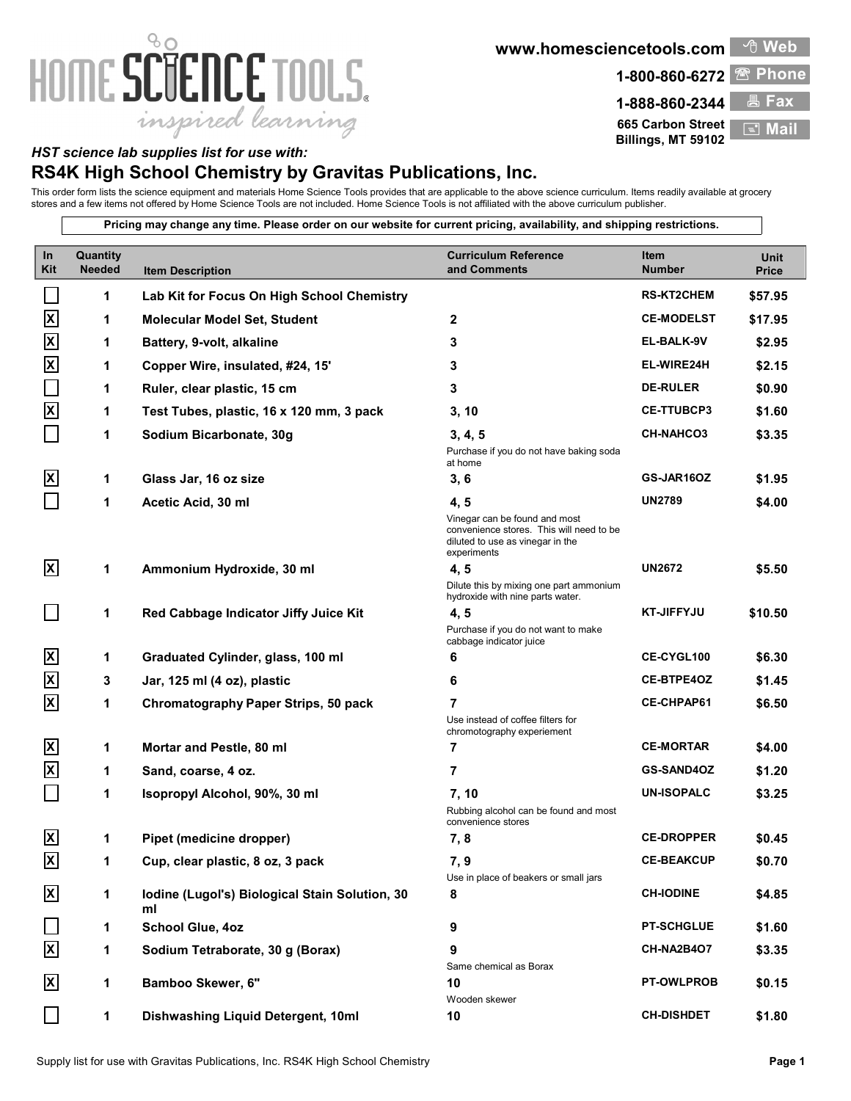## 80 HOME SCIENCE TOOLS. inspired learning

**www.homesciencetools.com Web** 



**665 Carbon Street Billings, MT 59102 E** Mai

## *HST science lab supplies list for use with:*

## **RS4K High School Chemistry by Gravitas Publications, Inc.**

This order form lists the science equipment and materials Home Science Tools provides that are applicable to the above science curriculum. Items readily available at grocery stores and a few items not offered by Home Science Tools are not included. Home Science Tools is not affiliated with the above curriculum publisher.

**Pricing may change any time. Please order on our website for current pricing, availability, and shipping restrictions.**

| In<br>Kit                | Quantity<br><b>Needed</b> | <b>Item Description</b>                              | <b>Curriculum Reference</b><br>and Comments                                                                                  | Item<br><b>Number</b> | Unit<br>Price |
|--------------------------|---------------------------|------------------------------------------------------|------------------------------------------------------------------------------------------------------------------------------|-----------------------|---------------|
|                          | 1                         | Lab Kit for Focus On High School Chemistry           |                                                                                                                              | <b>RS-KT2CHEM</b>     | \$57.95       |
| $\mathbf{x}$             | 1                         | <b>Molecular Model Set, Student</b>                  | $\mathbf{2}$                                                                                                                 | <b>CE-MODELST</b>     | \$17.95       |
| $\mathsf{\overline{X}}$  | 1                         | Battery, 9-volt, alkaline                            | 3                                                                                                                            | EL-BALK-9V            | \$2.95        |
| $\overline{\mathsf{x}}$  | 1                         | Copper Wire, insulated, #24, 15'                     | 3                                                                                                                            | EL-WIRE24H            | \$2.15        |
|                          | 1                         | Ruler, clear plastic, 15 cm                          | 3                                                                                                                            | <b>DE-RULER</b>       | \$0.90        |
| $\overline{\mathbf{x}}$  | 1                         | Test Tubes, plastic, 16 x 120 mm, 3 pack             | 3, 10                                                                                                                        | <b>CE-TTUBCP3</b>     | \$1.60        |
|                          | 1                         | Sodium Bicarbonate, 30g                              | 3, 4, 5                                                                                                                      | <b>CH-NAHCO3</b>      | \$3.35        |
|                          |                           |                                                      | Purchase if you do not have baking soda<br>at home                                                                           |                       |               |
| <b>X</b>                 | 1                         | Glass Jar, 16 oz size                                | 3, 6                                                                                                                         | GS-JAR16OZ            | \$1.95        |
|                          | 1                         | Acetic Acid, 30 ml                                   | 4, 5                                                                                                                         | <b>UN2789</b>         | \$4.00        |
|                          |                           |                                                      | Vinegar can be found and most<br>convenience stores. This will need to be<br>diluted to use as vinegar in the<br>experiments |                       |               |
| $\mathbf{x}$             | 1                         | Ammonium Hydroxide, 30 ml                            | 4, 5                                                                                                                         | <b>UN2672</b>         | \$5.50        |
|                          |                           |                                                      | Dilute this by mixing one part ammonium<br>hydroxide with nine parts water.                                                  |                       |               |
|                          | 1                         | Red Cabbage Indicator Jiffy Juice Kit                | 4, 5                                                                                                                         | <b>KT-JIFFYJU</b>     | \$10.50       |
|                          |                           |                                                      | Purchase if you do not want to make<br>cabbage indicator juice                                                               |                       |               |
| $\mathbf{x}$             | 1                         | Graduated Cylinder, glass, 100 ml                    | 6                                                                                                                            | <b>CE-CYGL100</b>     | \$6.30        |
| $\overline{\mathsf{x}}$  | 3                         | Jar, 125 ml (4 oz), plastic                          | 6                                                                                                                            | <b>CE-BTPE4OZ</b>     | \$1.45        |
| $\overline{\mathbf{x}}$  | 1                         | Chromatography Paper Strips, 50 pack                 | 7                                                                                                                            | <b>CE-CHPAP61</b>     | \$6.50        |
|                          |                           |                                                      | Use instead of coffee filters for<br>chromotography experiement                                                              |                       |               |
| $\overline{\mathsf{X}}$  | 1                         | Mortar and Pestle, 80 ml                             | 7                                                                                                                            | <b>CE-MORTAR</b>      | \$4.00        |
| $\overline{\mathsf{x}}$  | 1                         | Sand, coarse, 4 oz.                                  | 7                                                                                                                            | <b>GS-SAND4OZ</b>     | \$1.20        |
|                          | 1                         | Isopropyl Alcohol, 90%, 30 ml                        | 7, 10                                                                                                                        | <b>UN-ISOPALC</b>     | \$3.25        |
|                          |                           |                                                      | Rubbing alcohol can be found and most<br>convenience stores                                                                  |                       |               |
| $\mathbf{x}$             | 1                         | Pipet (medicine dropper)                             | 7, 8                                                                                                                         | <b>CE-DROPPER</b>     | \$0.45        |
| $\mathsf{X}$             |                           | Cup, clear plastic, 8 oz, 3 pack                     | 7, 9                                                                                                                         | <b>CE-BEAKCUP</b>     | \$0.70        |
| $\mathsf{\underline{x}}$ | 1                         | Iodine (Lugol's) Biological Stain Solution, 30<br>ml | Use in place of beakers or small jars<br>8                                                                                   | <b>CH-IODINE</b>      | \$4.85        |
|                          | 1                         | <b>School Glue, 4oz</b>                              | 9                                                                                                                            | <b>PT-SCHGLUE</b>     | \$1.60        |
| $\overline{\mathbf{x}}$  | 1                         | Sodium Tetraborate, 30 g (Borax)                     | 9<br>Same chemical as Borax                                                                                                  | CH-NA2B4O7            | \$3.35        |
| $\vert x \vert$          | 1                         | Bamboo Skewer, 6"                                    | 10<br>Wooden skewer                                                                                                          | <b>PT-OWLPROB</b>     | \$0.15        |
|                          | 1                         | Dishwashing Liquid Detergent, 10ml                   | 10                                                                                                                           | <b>CH-DISHDET</b>     | \$1.80        |